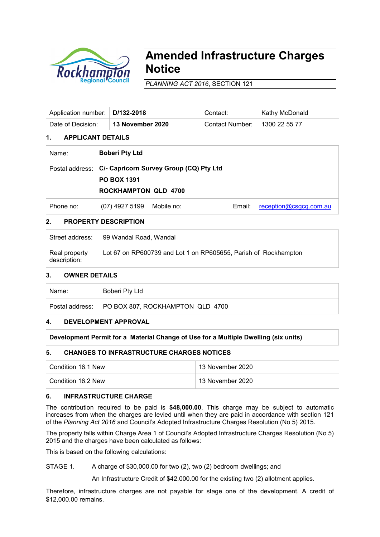

# **Amended Infrastructure Charges Notice**

*PLANNING ACT 2016*, SECTION 121

| Application number:   D/132-2018 |                         | Contact:        | ˈ Kathy McDonald ˈ |
|----------------------------------|-------------------------|-----------------|--------------------|
| Date of Decision:                | <b>13 November 2020</b> | Contact Number: | 1300 22 55 77      |

# **1. APPLICANT DETAILS**

| Name:     | <b>Boberi Pty Ltd</b>                             |                                                         |        |                        |  |  |
|-----------|---------------------------------------------------|---------------------------------------------------------|--------|------------------------|--|--|
|           | <b>PO BOX 1391</b><br><b>ROCKHAMPTON QLD 4700</b> | Postal address: C/- Capricorn Survey Group (CQ) Pty Ltd |        |                        |  |  |
| Phone no: | (07) 4927 5199 Mobile no:                         |                                                         | Email: | reception@csgcq.com.au |  |  |

# **2. PROPERTY DESCRIPTION**

Real property description: Lot 67 on RP600739 and Lot 1 on RP605655, Parish of Rockhampton

# **3. OWNER DETAILS**

Name: Boberi Pty Ltd

Postal address: PO BOX 807, ROCKHAMPTON QLD 4700

# **4. DEVELOPMENT APPROVAL**

# **Development Permit for a Material Change of Use for a Multiple Dwelling (six units)**

# **5. CHANGES TO INFRASTRUCTURE CHARGES NOTICES**

| Condition 16.1 New | 13 November 2020 |
|--------------------|------------------|
| Condition 16.2 New | 13 November 2020 |

# **6. INFRASTRUCTURE CHARGE**

The contribution required to be paid is **\$48,000.00**. This charge may be subject to automatic increases from when the charges are levied until when they are paid in accordance with section 121 of the *Planning Act 2016* and Council's Adopted Infrastructure Charges Resolution (No 5) 2015.

The property falls within Charge Area 1 of Council's Adopted Infrastructure Charges Resolution (No 5) 2015 and the charges have been calculated as follows:

This is based on the following calculations:

STAGE 1. A charge of \$30,000.00 for two (2), two (2) bedroom dwellings; and

An Infrastructure Credit of \$42.000.00 for the existing two (2) allotment applies.

Therefore, infrastructure charges are not payable for stage one of the development. A credit of \$12,000.00 remains.